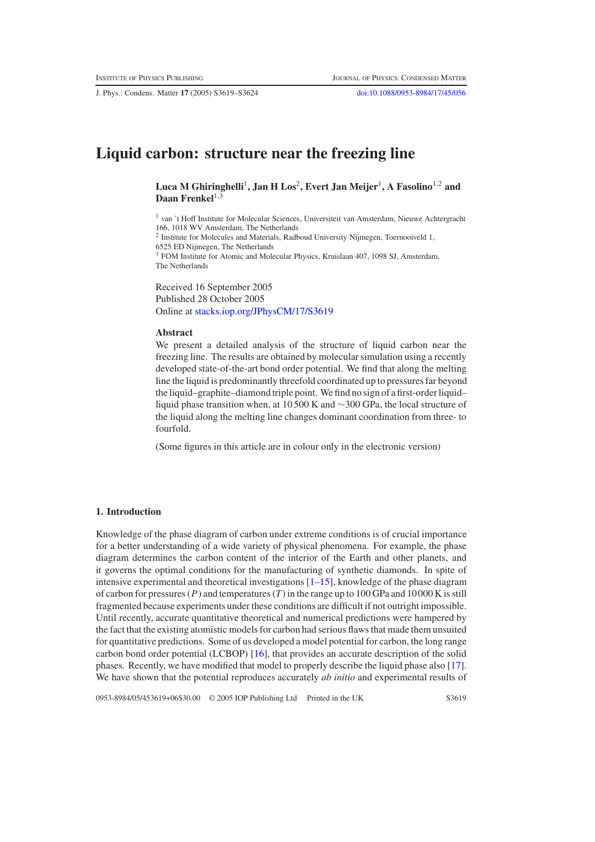J. Phys.: Condens. Matter **17** (2005) S3619–S3624 [doi:10.1088/0953-8984/17/45/056](http://dx.doi.org/10.1088/0953-8984/17/45/056)

# **Liquid carbon: structure near the freezing line**

**Luca M Ghiringhelli**1**, Jan H Los**2**, Evert Jan Meijer**1**, A Fasolino**1,<sup>2</sup> **and** Daan Frenkel<sup>1,3</sup>

<sup>1</sup> van 't Hoff Institute for Molecular Sciences, Universiteit van Amsterdam, Nieuwe Achtergracht 166, 1018 WV Amsterdam, The Netherlands <sup>2</sup> Institute for Molecules and Materials, Radboud University Nijmegen, Toernooiveld 1, 6525 ED Nijmegen, The Netherlands

<sup>3</sup> FOM Institute for Atomic and Molecular Physics, Kruislaan 407, 1098 SJ, Amsterdam, The Netherlands

Received 16 September 2005 Published 28 October 2005 Online at [stacks.iop.org/JPhysCM/17/S3619](http://stacks.iop.org/JPhysCM/17/S3619)

#### **Abstract**

We present a detailed analysis of the structure of liquid carbon near the freezing line. The results are obtained by molecular simulation using a recently developed state-of-the-art bond order potential. We find that along the melting line the liquid is predominantly threefold coordinated up to pressures far beyond the liquid–graphite–diamond triple point. We find no sign of a first-order liquid– liquid phase transition when, at 10 500 K and ∼300 GPa, the local structure of the liquid along the melting line changes dominant coordination from three- to fourfold.

(Some figures in this article are in colour only in the electronic version)

## **1. Introduction**

Knowledge of the phase diagram of carbon under extreme conditions is of crucial importance for a better understanding of a wide variety of physical phenomena. For example, the phase diagram determines the carbon content of the interior of the Earth and other planets, and it governs the optimal conditions for the manufacturing of synthetic diamonds. In spite of intensive experimental and theoretical investigations  $[1-15]$ , knowledge of the phase diagram of carbon for pressures (*P*) and temperatures (*T*) in the range up to 100 GPa and 10000 K is still fragmented because experiments under these conditions are difficult if not outright impossible. Until recently, accurate quantitative theoretical and numerical predictions were hampered by the fact that the existing atomistic models for carbon had serious flaws that made them unsuited for quantitative predictions. Some of us developed a model potential for carbon, the long range carbon bond order potential (LCBOP) [\[16\]](#page-5-0), that provides an accurate description of the solid phases. Recently, we have modified that model to properly describe the liquid phase also [\[17\]](#page-5-1). We have shown that the potential reproduces accurately *ab initio* and experimental results of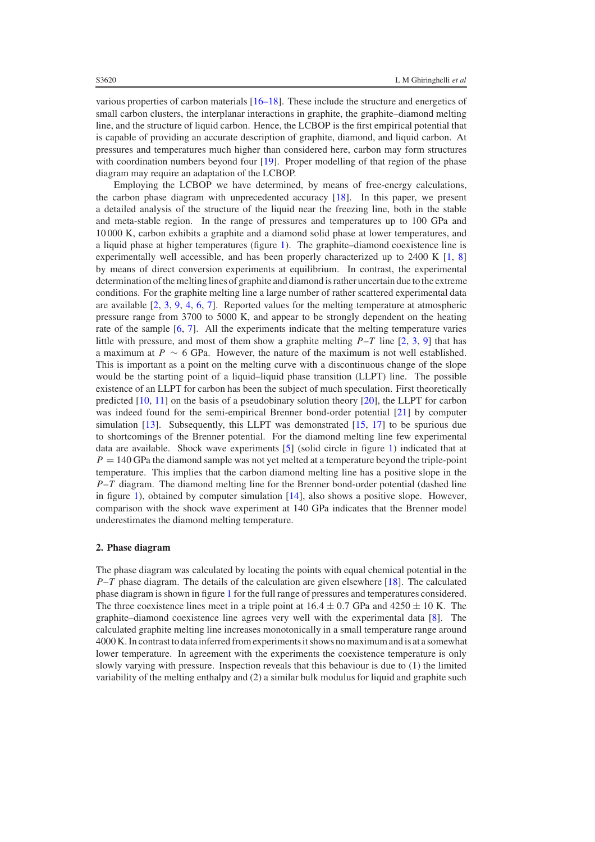various properties of carbon materials [\[16–18\]](#page-5-0). These include the structure and energetics of small carbon clusters, the interplanar interactions in graphite, the graphite–diamond melting line, and the structure of liquid carbon. Hence, the LCBOP is the first empirical potential that is capable of providing an accurate description of graphite, diamond, and liquid carbon. At pressures and temperatures much higher than considered here, carbon may form structures with coordination numbers beyond four [\[19\]](#page-5-2). Proper modelling of that region of the phase diagram may require an adaptation of the LCBOP.

Employing the LCBOP we have determined, by means of free-energy calculations, the carbon phase diagram with unprecedented accuracy [\[18\]](#page-5-3). In this paper, we present a detailed analysis of the structure of the liquid near the freezing line, both in the stable and meta-stable region. In the range of pressures and temperatures up to 100 GPa and 10 000 K, carbon exhibits a graphite and a diamond solid phase at lower temperatures, and a liquid phase at higher temperatures (figure [1\)](#page-2-0). The graphite–diamond coexistence line is experimentally well accessible, and has been properly characterized up to 2400 K [\[1,](#page-4-0) [8\]](#page-4-1) by means of direct conversion experiments at equilibrium. In contrast, the experimental determination of the melting lines of graphite and diamond is rather uncertain due to the extreme conditions. For the graphite melting line a large number of rather scattered experimental data are available [\[2,](#page-4-2) [3,](#page-4-3) [9,](#page-4-4) [4,](#page-4-5) [6,](#page-4-6) [7\]](#page-4-7). Reported values for the melting temperature at atmospheric pressure range from 3700 to 5000 K, and appear to be strongly dependent on the heating rate of the sample [\[6,](#page-4-6) [7\]](#page-4-7). All the experiments indicate that the melting temperature varies little with pressure, and most of them show a graphite melting *P*–*T* line [\[2,](#page-4-2) [3,](#page-4-3) [9\]](#page-4-4) that has a maximum at *P* ∼ 6 GPa. However, the nature of the maximum is not well established. This is important as a point on the melting curve with a discontinuous change of the slope would be the starting point of a liquid–liquid phase transition (LLPT) line. The possible existence of an LLPT for carbon has been the subject of much speculation. First theoretically predicted [\[10,](#page-4-8) [11\]](#page-4-9) on the basis of a pseudobinary solution theory [\[20\]](#page-5-4), the LLPT for carbon was indeed found for the semi-empirical Brenner bond-order potential [\[21\]](#page-5-5) by computer simulation [\[13\]](#page-4-10). Subsequently, this LLPT was demonstrated [\[15,](#page-4-11) [17\]](#page-5-1) to be spurious due to shortcomings of the Brenner potential. For the diamond melting line few experimental data are available. Shock wave experiments [\[5\]](#page-4-12) (solid circle in figure [1\)](#page-2-0) indicated that at  $P = 140$  GPa the diamond sample was not yet melted at a temperature beyond the triple-point temperature. This implies that the carbon diamond melting line has a positive slope in the *P*–*T* diagram. The diamond melting line for the Brenner bond-order potential (dashed line in figure [1\)](#page-2-0), obtained by computer simulation [\[14\]](#page-4-13), also shows a positive slope. However, comparison with the shock wave experiment at 140 GPa indicates that the Brenner model underestimates the diamond melting temperature.

### **2. Phase diagram**

The phase diagram was calculated by locating the points with equal chemical potential in the *P*–*T* phase diagram. The details of the calculation are given elsewhere [\[18\]](#page-5-3). The calculated phase diagram is shown in figure [1](#page-2-0) for the full range of pressures and temperatures considered. The three coexistence lines meet in a triple point at  $16.4 \pm 0.7$  GPa and  $4250 \pm 10$  K. The graphite–diamond coexistence line agrees very well with the experimental data [\[8\]](#page-4-1). The calculated graphite melting line increases monotonically in a small temperature range around 4000 K. In contrast to data inferred from experiments it shows no maximum and is at a somewhat lower temperature. In agreement with the experiments the coexistence temperature is only slowly varying with pressure. Inspection reveals that this behaviour is due to (1) the limited variability of the melting enthalpy and (2) a similar bulk modulus for liquid and graphite such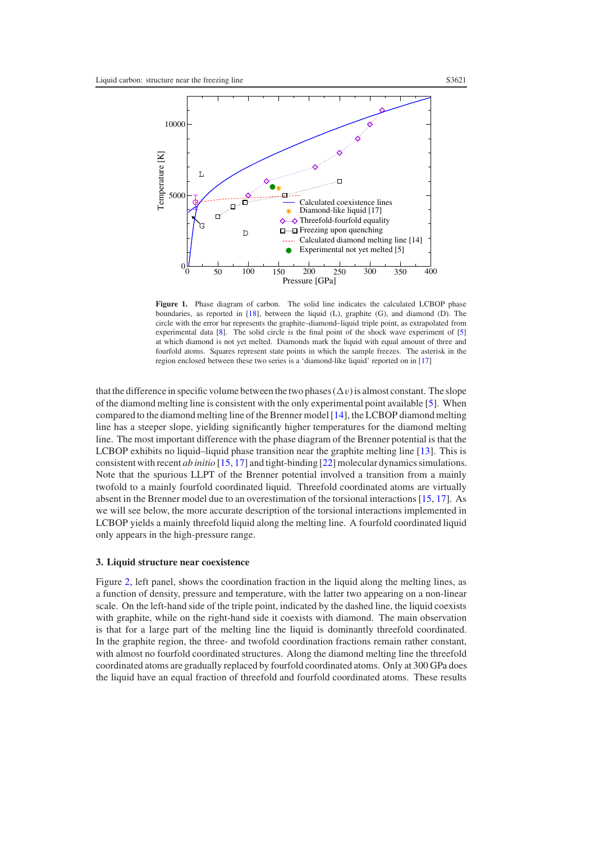<span id="page-2-0"></span>

Figure 1. Phase diagram of carbon. The solid line indicates the calculated LCBOP phase boundaries, as reported in [\[18\]](#page-5-3), between the liquid (L), graphite (G), and diamond (D). The circle with the error bar represents the graphite–diamond–liquid triple point, as extrapolated from experimental data [\[8\]](#page-4-1). The solid circle is the final point of the shock wave experiment of [\[5\]](#page-4-12) at which diamond is not yet melted. Diamonds mark the liquid with equal amount of three and fourfold atoms. Squares represent state points in which the sample freezes. The asterisk in the region enclosed between these two series is a 'diamond-like liquid' reported on in [\[17\]](#page-5-1)

that the difference in specific volume between the two phases  $(\Delta v)$  is almost constant. The slope of the diamond melting line is consistent with the only experimental point available [\[5\]](#page-4-12). When compared to the diamond melting line of the Brenner model [\[14\]](#page-4-13), the LCBOP diamond melting line has a steeper slope, yielding significantly higher temperatures for the diamond melting line. The most important difference with the phase diagram of the Brenner potential is that the LCBOP exhibits no liquid–liquid phase transition near the graphite melting line [\[13\]](#page-4-10). This is consistent with recent *ab initio* [\[15,](#page-4-11) [17\]](#page-5-1) and tight-binding [\[22\]](#page-5-6) molecular dynamics simulations. Note that the spurious LLPT of the Brenner potential involved a transition from a mainly twofold to a mainly fourfold coordinated liquid. Threefold coordinated atoms are virtually absent in the Brenner model due to an overestimation of the torsional interactions [\[15,](#page-4-11) [17\]](#page-5-1). As we will see below, the more accurate description of the torsional interactions implemented in LCBOP yields a mainly threefold liquid along the melting line. A fourfold coordinated liquid only appears in the high-pressure range.

## **3. Liquid structure near coexistence**

Figure [2,](#page-3-0) left panel, shows the coordination fraction in the liquid along the melting lines, as a function of density, pressure and temperature, with the latter two appearing on a non-linear scale. On the left-hand side of the triple point, indicated by the dashed line, the liquid coexists with graphite, while on the right-hand side it coexists with diamond. The main observation is that for a large part of the melting line the liquid is dominantly threefold coordinated. In the graphite region, the three- and twofold coordination fractions remain rather constant, with almost no fourfold coordinated structures. Along the diamond melting line the threefold coordinated atoms are gradually replaced by fourfold coordinated atoms. Only at 300 GPa does the liquid have an equal fraction of threefold and fourfold coordinated atoms. These results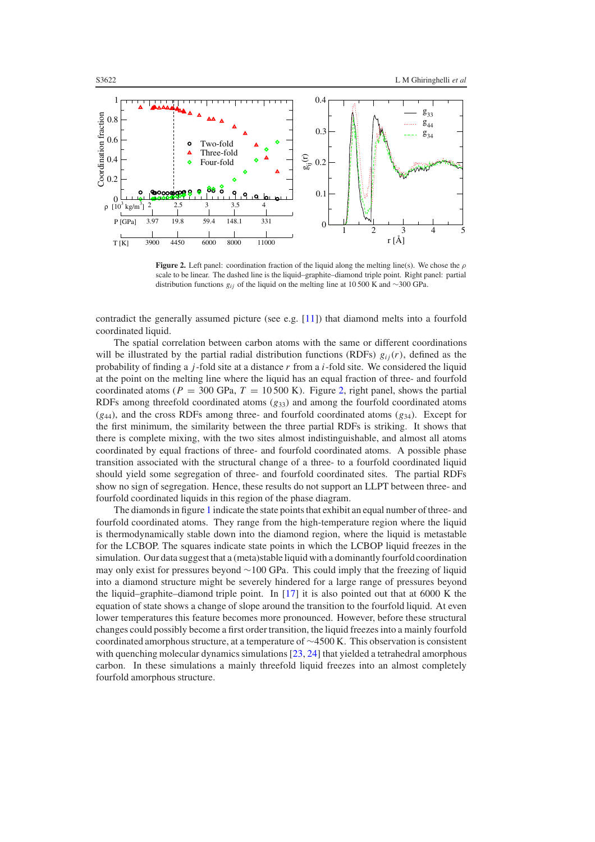<span id="page-3-0"></span>

**Figure 2.** Left panel: coordination fraction of the liquid along the melting line(s). We chose the  $\rho$ scale to be linear. The dashed line is the liquid–graphite–diamond triple point. Right panel: partial distribution functions *gij* of the liquid on the melting line at 10 500 K and ∼300 GPa.

contradict the generally assumed picture (see e.g. [\[11\]](#page-4-9)) that diamond melts into a fourfold coordinated liquid.

The spatial correlation between carbon atoms with the same or different coordinations will be illustrated by the partial radial distribution functions (RDFs)  $g_{ij}(r)$ , defined as the probability of finding a *j*-fold site at a distance *r* from a *i*-fold site. We considered the liquid at the point on the melting line where the liquid has an equal fraction of three- and fourfold coordinated atoms ( $P = 300$  GPa,  $T = 10500$  K). Figure [2,](#page-3-0) right panel, shows the partial RDFs among threefold coordinated atoms (*g*33) and among the fourfold coordinated atoms  $(g_{44})$ , and the cross RDFs among three- and fourfold coordinated atoms  $(g_{34})$ . Except for the first minimum, the similarity between the three partial RDFs is striking. It shows that there is complete mixing, with the two sites almost indistinguishable, and almost all atoms coordinated by equal fractions of three- and fourfold coordinated atoms. A possible phase transition associated with the structural change of a three- to a fourfold coordinated liquid should yield some segregation of three- and fourfold coordinated sites. The partial RDFs show no sign of segregation. Hence, these results do not support an LLPT between three- and fourfold coordinated liquids in this region of the phase diagram.

The diamonds in figure [1](#page-2-0) indicate the state points that exhibit an equal number of three- and fourfold coordinated atoms. They range from the high-temperature region where the liquid is thermodynamically stable down into the diamond region, where the liquid is metastable for the LCBOP. The squares indicate state points in which the LCBOP liquid freezes in the simulation. Our data suggest that a (meta)stable liquid with a dominantly fourfold coordination may only exist for pressures beyond ∼100 GPa. This could imply that the freezing of liquid into a diamond structure might be severely hindered for a large range of pressures beyond the liquid–graphite–diamond triple point. In [\[17\]](#page-5-1) it is also pointed out that at 6000 K the equation of state shows a change of slope around the transition to the fourfold liquid. At even lower temperatures this feature becomes more pronounced. However, before these structural changes could possibly become a first order transition, the liquid freezes into a mainly fourfold coordinated amorphous structure, at a temperature of ∼4500 K. This observation is consistent with quenching molecular dynamics simulations [\[23,](#page-5-7) [24\]](#page-5-8) that yielded a tetrahedral amorphous carbon. In these simulations a mainly threefold liquid freezes into an almost completely fourfold amorphous structure.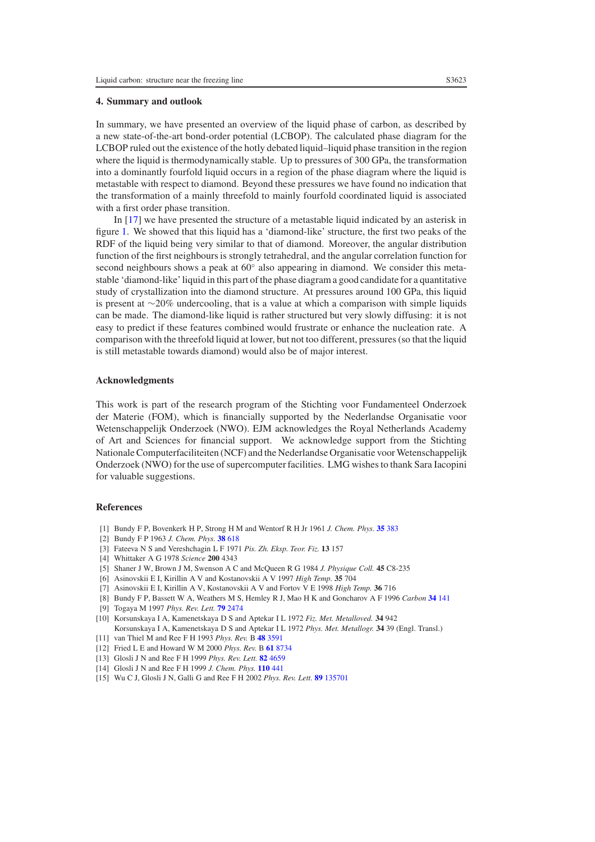## **4. Summary and outlook**

In summary, we have presented an overview of the liquid phase of carbon, as described by a new state-of-the-art bond-order potential (LCBOP). The calculated phase diagram for the LCBOP ruled out the existence of the hotly debated liquid–liquid phase transition in the region where the liquid is thermodynamically stable. Up to pressures of 300 GPa, the transformation into a dominantly fourfold liquid occurs in a region of the phase diagram where the liquid is metastable with respect to diamond. Beyond these pressures we have found no indication that the transformation of a mainly threefold to mainly fourfold coordinated liquid is associated with a first order phase transition.

In [\[17\]](#page-5-1) we have presented the structure of a metastable liquid indicated by an asterisk in figure [1.](#page-2-0) We showed that this liquid has a 'diamond-like' structure, the first two peaks of the RDF of the liquid being very similar to that of diamond. Moreover, the angular distribution function of the first neighbours is strongly tetrahedral, and the angular correlation function for second neighbours shows a peak at 60° also appearing in diamond. We consider this metastable 'diamond-like' liquid in this part of the phase diagram a good candidate for a quantitative study of crystallization into the diamond structure. At pressures around 100 GPa, this liquid is present at ∼20% undercooling, that is a value at which a comparison with simple liquids can be made. The diamond-like liquid is rather structured but very slowly diffusing: it is not easy to predict if these features combined would frustrate or enhance the nucleation rate. A comparison with the threefold liquid at lower, but not too different, pressures (so that the liquid is still metastable towards diamond) would also be of major interest.

#### **Acknowledgments**

This work is part of the research program of the Stichting voor Fundamenteel Onderzoek der Materie (FOM), which is financially supported by the Nederlandse Organisatie voor Wetenschappelijk Onderzoek (NWO). EJM acknowledges the Royal Netherlands Academy of Art and Sciences for financial support. We acknowledge support from the Stichting Nationale Computerfaciliteiten (NCF) and the Nederlandse Organisatie voor Wetenschappelijk Onderzoek (NWO) for the use of supercomputer facilities. LMG wishes to thank Sara Iacopini for valuable suggestions.

## <span id="page-4-12"></span><span id="page-4-7"></span><span id="page-4-6"></span><span id="page-4-5"></span><span id="page-4-3"></span><span id="page-4-2"></span><span id="page-4-1"></span><span id="page-4-0"></span>**References**

- [1] Bundy F P, Bovenkerk H P, Strong H M and Wentorf R H Jr 1961 *J. Chem. Phys.* **35** [383](http://dx.doi.org/10.1063/1.1731938)
- <span id="page-4-4"></span>[2] Bundy F P 1963 *J. Chem. Phys.* **38** [618](http://dx.doi.org/10.1063/1.1733715)
- <span id="page-4-8"></span>[3] Fateeva N S and Vereshchagin L F 1971 *Pis. Zh. Eksp. Teor. Fiz.* **13** 157
- [4] Whittaker A G 1978 *Science* **200** 4343
- <span id="page-4-9"></span>[5] Shaner J W, Brown J M, Swenson A C and McQueen R G 1984 *J. Physique Coll.* **45** C8-235
- [6] Asinovskii E I, Kirillin A V and Kostanovskii A V 1997 *High Temp.* **35** 704
- <span id="page-4-10"></span>[7] Asinovskii E I, Kirillin A V, Kostanovskii A V and Fortov V E 1998 *High Temp.* **36** 716
- [8] Bundy F P, Bassett W A, Weathers M S, Hemley R J, Mao H K and Goncharov A F 1996 *Carbon* **34** [141](http://dx.doi.org/10.1016/0008-6223(96)00170-4)
- [9] Togaya M 1997 *Phys. Rev. Lett.* **79** [2474](http://dx.doi.org/10.1103/PhysRevLett.79.2474)
- <span id="page-4-13"></span><span id="page-4-11"></span>[10] Korsunskaya I A, Kamenetskaya D S and Aptekar I L 1972 *Fiz. Met. Metalloved.* **34** 942 Korsunskaya I A, Kamenetskaya D S and Aptekar I L 1972 *Phys. Met. Metallogr.* **34** 39 (Engl. Transl.)
- [11] van Thiel M and Ree F H 1993 *Phys. Rev.* B **48** [3591](http://dx.doi.org/10.1103/PhysRevB.48.3591)
- [12] Fried L E and Howard W M 2000 *Phys. Rev.* B **61** [8734](http://dx.doi.org/10.1103/PhysRevB.61.8734)
- [13] Glosli J N and Ree F H 1999 *Phys. Rev. Lett.* **82** [4659](http://dx.doi.org/10.1103/PhysRevLett.82.4659)
- [14] Glosli J N and Ree F H 1999 *J. Chem. Phys.* **[110](http://dx.doi.org/10.1063/1.478103)** 441
- [15] Wu C J, Glosli J N, Galli G and Ree F H 2002 *Phys. Rev. Lett.* **89** [135701](http://dx.doi.org/10.1103/PhysRevLett.89.135701)